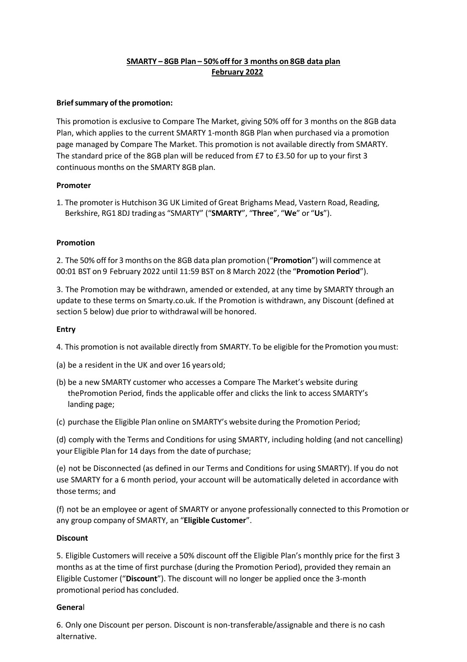# **SMARTY – 8GB Plan – 50%off for 3 months on 8GB data plan February 2022**

## **Brief summary of the promotion:**

This promotion is exclusive to Compare The Market, giving 50% off for 3 months on the 8GB data Plan, which applies to the current SMARTY 1-month 8GB Plan when purchased via a promotion page managed by Compare The Market. This promotion is not available directly from SMARTY. The standard price of the 8GB plan will be reduced from £7 to £3.50 for up to your first 3 continuous months on the SMARTY 8GB plan.

## **Promoter**

1. The promoter is Hutchison 3G UK Limited of Great Brighams Mead, Vastern Road, Reading, Berkshire, RG1 8DJ trading as "SMARTY" ("**SMARTY**", "**Three**", "**We**" or "**Us**").

## **Promotion**

2. The 50% off for 3 months on the 8GB data plan promotion ("**Promotion**") will commence at 00:01 BST on 9 February 2022 until 11:59 BST on 8 March 2022 (the "**Promotion Period**").

3. The Promotion may be withdrawn, amended or extended, at any time by SMARTY through an update to these terms on Smarty.co.uk. If the Promotion is withdrawn, any Discount (defined at section 5 below) due prior to withdrawal will be honored.

### **Entry**

4. This promotion is not available directly from SMARTY. To be eligible for the Promotion youmust:

- (a) be a resident in the UK and over 16 yearsold;
- (b) be a new SMARTY customer who accesses a Compare The Market's website during thePromotion Period, finds the applicable offer and clicks the link to access SMARTY's landing page;
- (c) purchase the Eligible Plan online on SMARTY's website during the Promotion Period;

(d) comply with the Terms and Conditions for using SMARTY, including holding (and not cancelling) your Eligible Plan for 14 days from the date of purchase;

(e) not be Disconnected (as defined in our Terms and Conditions for using SMARTY). If you do not use SMARTY for a 6 month period, your account will be automatically deleted in accordance with those terms; and

(f) not be an employee or agent of SMARTY or anyone professionally connected to this Promotion or any group company of SMARTY, an "**Eligible Customer**".

### **Discount**

5. Eligible Customers will receive a 50% discount off the Eligible Plan's monthly price for the first 3 months as at the time of first purchase (during the Promotion Period), provided they remain an Eligible Customer ("**Discount**"). The discount will no longer be applied once the 3-month promotional period has concluded.

### **Genera**l

6. Only one Discount per person. Discount is non-transferable/assignable and there is no cash alternative.